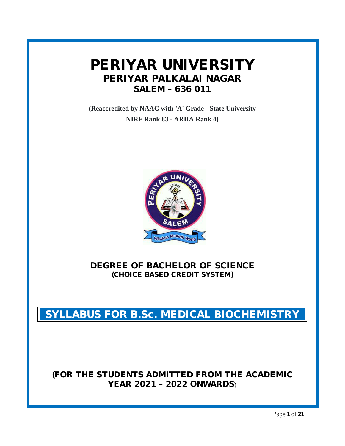# **PERIYAR UNIVERSITY PERIYAR PALKALAI NAGAR SALEM – 636 011**

**(Reaccredited by NAAC with 'A' Grade - State University NIRF Rank 83 - ARIIA Rank 4)**



**DEGREE OF BACHELOR OF SCIENCE (CHOICE BASED CREDIT SYSTEM)**

**SYLLABUS FOR B.Sc. MEDICAL BIOCHEMISTRY**

# **(FOR THE STUDENTS ADMITTED FROM THE ACADEMIC YEAR 2021 – 2022 ONWARDS**)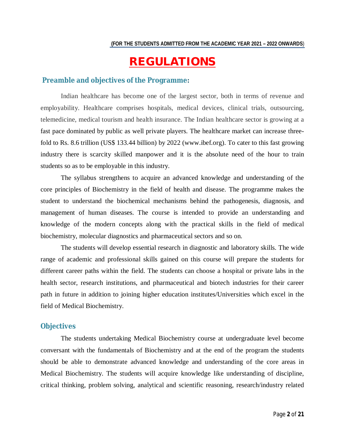# **REGULATIONS**

#### **Preamble and objectives of the Programme:**

Indian healthcare has become one of the largest sector, both in terms of revenue and employability. Healthcare comprises hospitals, medical devices, clinical trials, outsourcing, telemedicine, medical tourism and health insurance. The Indian healthcare sector is growing at a fast pace dominated by public as well private players. The healthcare market can increase threefold to Rs. 8.6 trillion (US\$ 133.44 billion) by 2022 (www.ibef.org). To cater to this fast growing industry there is scarcity skilled manpower and it is the absolute need of the hour to train students so as to be employable in this industry.

The syllabus strengthens to acquire an advanced knowledge and understanding of the core principles of Biochemistry in the field of health and disease. The programme makes the student to understand the biochemical mechanisms behind the pathogenesis, diagnosis, and management of human diseases. The course is intended to provide an understanding and knowledge of the modern concepts along with the practical skills in the field of medical biochemistry, molecular diagnostics and pharmaceutical sectors and so on.

The students will develop essential research in diagnostic and laboratory skills. The wide range of academic and professional skills gained on this course will prepare the students for different career paths within the field. The students can choose a hospital or private labs in the health sector, research institutions, and pharmaceutical and biotech industries for their career path in future in addition to joining higher education institutes/Universities which excel in the field of Medical Biochemistry.

#### **Objectives**

The students undertaking Medical Biochemistry course at undergraduate level become conversant with the fundamentals of Biochemistry and at the end of the program the students should be able to demonstrate advanced knowledge and understanding of the core areas in Medical Biochemistry. The students will acquire knowledge like understanding of discipline, critical thinking, problem solving, analytical and scientific reasoning, research/industry related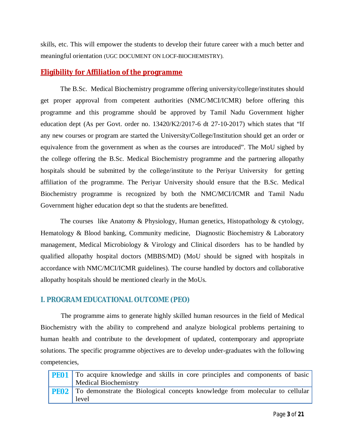skills, etc. This will empower the students to develop their future career with a much better and meaningful orientation (UGC DOCUMENT ON LOCF-BIOCHEMISTRY).

# **Eligibility for Affiliation of the programme**

The B.Sc. Medical Biochemistry programme offering university/college/institutes should get proper approval from competent authorities (NMC/MCI/ICMR) before offering this programme and this programme should be approved by Tamil Nadu Government higher education dept (As per Govt. order no. 13420/K2/2017-6 dt 27-10-2017) which states that "If any new courses or program are started the University/College/Institution should get an order or equivalence from the government as when as the courses are introduced". The MoU sighed by the college offering the B.Sc. Medical Biochemistry programme and the partnering allopathy hospitals should be submitted by the college/institute to the Periyar University for getting affiliation of the programme. The Periyar University should ensure that the B.Sc. Medical Biochemistry programme is recognized by both the NMC/MCI/ICMR and Tamil Nadu Government higher education dept so that the students are benefitted.

The courses like Anatomy & Physiology, Human genetics, Histopathology & cytology, Hematology & Blood banking, Community medicine, Diagnostic Biochemistry & Laboratory management, Medical Microbiology & Virology and Clinical disorders has to be handled by qualified allopathy hospital doctors (MBBS/MD) (MoU should be signed with hospitals in accordance with NMC/MCI/ICMR guidelines). The course handled by doctors and collaborative allopathy hospitals should be mentioned clearly in the MoUs.

# **I. PROGRAM EDUCATIONAL OUTCOME (PEO)**

The programme aims to generate highly skilled human resources in the field of Medical Biochemistry with the ability to comprehend and analyze biological problems pertaining to human health and contribute to the development of updated, contemporary and appropriate solutions. The specific programme objectives are to develop under-graduates with the following competencies,

| <b>PE01</b> To acquire knowledge and skills in core principles and components of basic<br><b>Medical Biochemistry</b> |
|-----------------------------------------------------------------------------------------------------------------------|
| <b>PE02</b> To demonstrate the Biological concepts knowledge from molecular to cellular<br>level                      |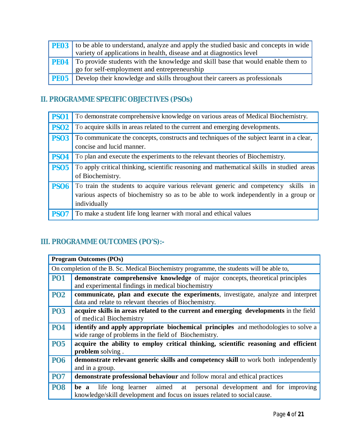| <b>PE03</b> to be able to understand, analyze and apply the studied basic and concepts in wide                                             |
|--------------------------------------------------------------------------------------------------------------------------------------------|
| variety of applications in health, disease and at diagnostics level                                                                        |
| <b>PEO4</b> To provide students with the knowledge and skill base that would enable them to<br>go for self-employment and entrepreneurship |
| <b>PE05</b> Develop their knowledge and skills throughout their careers as professionals                                                   |

# **II. PROGRAMME SPECIFIC OBJECTIVES (PSOs)**

| <b>PSO1</b> | To demonstrate comprehensive knowledge on various areas of Medical Biochemistry.                                                                                                              |
|-------------|-----------------------------------------------------------------------------------------------------------------------------------------------------------------------------------------------|
| <b>PSO2</b> | To acquire skills in areas related to the current and emerging developments.                                                                                                                  |
| <b>PSO3</b> | To communicate the concepts, constructs and techniques of the subject learnt in a clear,<br>concise and lucid manner.                                                                         |
| <b>PSO4</b> | To plan and execute the experiments to the relevant theories of Biochemistry.                                                                                                                 |
| <b>PSO5</b> | To apply critical thinking, scientific reasoning and mathematical skills in studied areas<br>of Biochemistry.                                                                                 |
| <b>PSO6</b> | To train the students to acquire various relevant generic and competency<br>skills in<br>various aspects of biochemistry so as to be able to work independently in a group or<br>individually |
| <b>PSO7</b> | To make a student life long learner with moral and ethical values                                                                                                                             |

# **III. PROGRAMME OUTCOMES (PO'S):-**

|            | <b>Program Outcomes (POs)</b>                                                                                                                         |  |  |  |  |  |  |  |  |
|------------|-------------------------------------------------------------------------------------------------------------------------------------------------------|--|--|--|--|--|--|--|--|
|            | On completion of the B. Sc. Medical Biochemistry programme, the students will be able to,                                                             |  |  |  |  |  |  |  |  |
| <b>PO1</b> | demonstrate comprehensive knowledge of major concepts, theoretical principles<br>and experimental findings in medical biochemistry                    |  |  |  |  |  |  |  |  |
| <b>PO2</b> | communicate, plan and execute the experiments, investigate, analyze and interpret<br>data and relate to relevant theories of Biochemistry.            |  |  |  |  |  |  |  |  |
| <b>PO3</b> | acquire skills in areas related to the current and emerging developments in the field<br>of medical Biochemistry                                      |  |  |  |  |  |  |  |  |
| <b>PO4</b> | identify and apply appropriate biochemical principles and methodologies to solve a<br>wide range of problems in the field of Biochemistry.            |  |  |  |  |  |  |  |  |
| <b>PO5</b> | acquire the ability to employ critical thinking, scientific reasoning and efficient<br><b>problem</b> solving.                                        |  |  |  |  |  |  |  |  |
| <b>PO6</b> | demonstrate relevant generic skills and competency skill to work both independently<br>and in a group.                                                |  |  |  |  |  |  |  |  |
| <b>PO7</b> | demonstrate professional behaviour and follow moral and ethical practices                                                                             |  |  |  |  |  |  |  |  |
| <b>PO8</b> | life long learner aimed at personal development and for improving<br>be a<br>knowledge/skill development and focus on issues related to social cause. |  |  |  |  |  |  |  |  |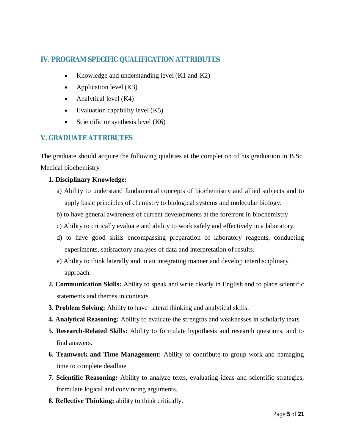# **IV. PROGRAM SPECIFIC QUALIFICATION ATTRIBUTES**

- Knowledge and understanding level (K1 and K2)
- Application level  $(K3)$
- Analytical level  $(K4)$
- Evaluation capability level  $(K5)$
- Scientific or synthesis level  $(K6)$

# **V. GRADUATE ATTRIBUTES**

The graduate should acquire the following qualities at the completion of his graduation in B.Sc. Medical biochemistry

### **1. Disciplinary Knowledge:**

- a) Ability to understand fundamental concepts of biochemistry and allied subjects and to apply basic principles of chemistry to biological systems and molecular biology.
- b) to have general awareness of current developments at the forefront in biochemistry
- c) Ability to critically evaluate and ability to work safely and effectively in a laboratory.
- d) to have good skills encompassing preparation of laboratory reagents, conducting experiments, satisfactory analyses of data and interpretation of results.
- e) Ability to think laterally and in an integrating manner and develop interdisciplinary approach.
- **2. Communication Skills:** Ability to speak and write clearly in English and to place scientific statements and themes in contexts
- **3. Problem Solving:** Ability to have lateral thinking and analytical skills.
- **4. Analytical Reasoning:** Ability to evaluate the strengths and weaknesses in scholarly texts
- **5. Research-Related Skills:** Ability to formulate hypothesis and research questions, and to find answers.
- **6. Teamwork and Time Management:** Ability to contribute to group work and namaging time to complete deadline
- **7. Scientific Reasoning:** Ability to analyze texts, evaluating ideas and scientific strategies, formulate logical and convincing arguments.
- **8. Reflective Thinking:** ability to think critically.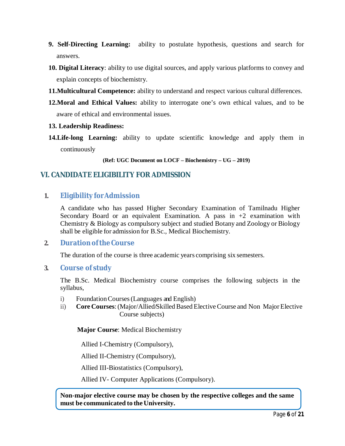- **9. Self-Directing Learning:** ability to postulate hypothesis, questions and search for answers.
- **10. Digital Literacy**: ability to use digital sources, and apply various platforms to convey and explain concepts of biochemistry.
- **11.Multicultural Competence:** ability to understand and respect various cultural differences.
- **12.Moral and Ethical Values:** ability to interrogate one's own ethical values, and to be aware of ethical and environmental issues.
- **13. Leadership Readiness:**
- **14.Life-long Learning:** ability to update scientific knowledge and apply them in continuously

**(Ref: UGC Document on LOCF – Biochemistry – UG – 2019)**

# **VI. CANDIDATE ELIGIBILITY FOR ADMISSION**

# **1. Eligibility forAdmission**

A candidate who has passed Higher Secondary Examination of Tamilnadu Higher Secondary Board or an equivalent Examination. A pass in  $+2$  examination with Chemistry & Biology as compulsory subject and studied Botany and Zoology or Biology shall be eligible for admission for B.Sc., Medical Biochemistry.

### **2. DurationoftheCourse**

The duration of the course is three academic years comprising six semesters.

### **3. Course of study**

The B.Sc. Medical Biochemistry course comprises the following subjects in the syllabus,

- i) FoundationCourses(Languages and English)
- ii) **Core Courses:** (Major/Allied/Skilled Based Elective Course and Non Major Elective Course subjects)

 **Major Course**: Medical Biochemistry

Allied I-Chemistry (Compulsory),

Allied II-Chemistry (Compulsory),

Allied III-Biostatistics (Compulsory),

Allied IV- Computer Applications (Compulsory).

**Non-major elective course may be chosen by the respective colleges and the same must be communicated to the University.**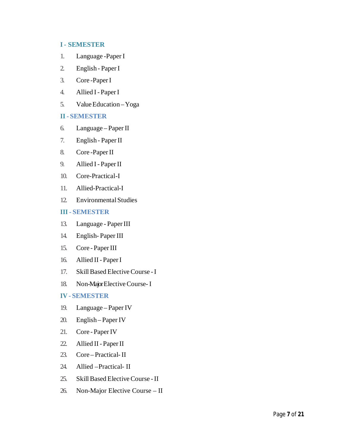#### **I- SEMESTER**

- 1. Language -Paper I
- 2. English Paper I
- 3. Core -PaperI
- 4. Allied I PaperI
- 5. Value Education Yoga

#### **II - SEMESTER**

- 6. Language Paper II
- 7. English Paper II
- 8. Core -PaperII
- 9. Allied I PaperII
- 10. Core-Practical-I
- 11. Allied-Practical-I
- 12. Environmental Studies

#### **III - SEMESTER**

- 13. Language PaperIII
- 14. English- Paper III
- 15. Core PaperIII
- 16. Allied II PaperI
- 17. Skill Based Elective Course I
- 18. Non-Major Elective Course- I

#### **IV - SEMESTER**

- 19. Language Paper IV
- 20. English Paper IV
- 21. Core PaperIV
- 22. Allied II Paper II
- 23. Core Practical- II
- 24. Allied –Practical- II
- 25. Skill Based Elective Course II
- 26. Non-Major Elective Course II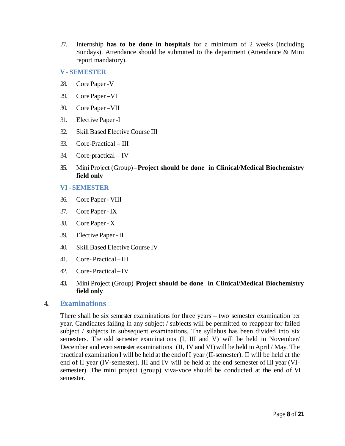- 27. Internship **has to be done in hospitals** for a minimum of 2 weeks (including Sundays). Attendance should be submitted to the department (Attendance & Mini report mandatory).
- **V - SEMESTER**
- 28. CorePaper-V
- 29. CorePaper –VI
- 30. CorePaper –VII
- 31. Elective Paper -I
- 32. SkillBased ElectiveCourse III
- 33. Core-Practical III
- 34. Core-practical IV
- **35.** Mini Project (Group) –**Project should be done in Clinical/Medical Biochemistry field only**

#### **VI - SEMESTER**

- 36. CorePaper- VIII
- 37. CorePaper-IX
- 38. CorePaper- X
- 39. Elective Paper -II
- 40. SkillBased ElectiveCourse IV
- 41. Core- Practical– III
- 42. Core- Practical– IV
- **43.** Mini Project (Group) **Project should be done in Clinical/Medical Biochemistry field only**

#### **4. Examinations**

There shall be six semester examinations for three years – two semester examination per year. Candidates failing in any subject / subjects will be permitted to reappear for failed subject / subjects in subsequent examinations. The syllabus has been divided into six semesters. The odd semester examinations (I, III and V) will be held in November/ December and even semester examinations (II, IV and VI) will be held in April / May. The practical examination I will be held at the end of I year (II-semester). II will be held at the end of II year (IV-semester). III and IV will be held at the end semester of III year (VIsemester). The mini project (group) viva-voce should be conducted at the end of VI semester.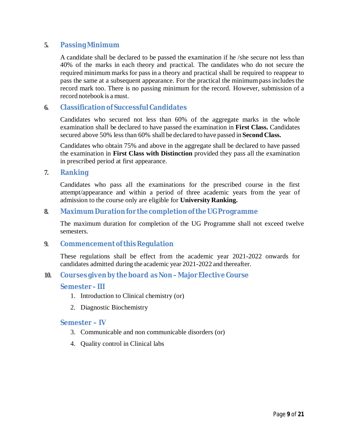### **5. PassingMinimum**

A candidate shall be declared to be passed the examination if he /she secure not less than 40% of the marks in each theory and practical. The candidates who do not secure the required minimum marks for pass in a theory and practical shall be required to reappear to pass the same at a subsequent appearance. For the practical the minimumpassincludesthe record mark too. There is no passing minimum for the record. However, submission of a record notebook is a must.

# **6. Classificationof SuccessfulCandidates**

Candidates who secured not less than 60% of the aggregate marks in the whole examination shall be declared to have passed the examination in **First Class.** Candidates secured above 50% less than 60% shall be declared to have passed in **Second Class.**

Candidates who obtain 75% and above in the aggregate shall be declared to have passed the examination in **First Class with Distinction** provided they pass all the examination in prescribed period at first appearance.

**7. Ranking**

Candidates who pass all the examinations for the prescribed course in the first attempt/appearance and within a period of three academic years from the year of admission to the course only are eligible for **University Ranking.**

# **8. MaximumDurationfor the completionoftheUGProgramme**

The maximum duration for completion of the UG Programme shall not exceed twelve semesters.

### **9. Commencement of this Regulation**

These regulations shall be effect from the academic year 2021-2022 onwards for candidates admitted during the academic year 2021-2022 and thereafter.

### **10. Courses givenbytheboard asNon–MajorElectiveCourse**

#### **Semester– III**

- 1. Introduction to Clinical chemistry (or)
- 2. Diagnostic Biochemistry

### **Semester – IV**

- 3. Communicable and non communicable disorders (or)
- 4. Quality control in Clinical labs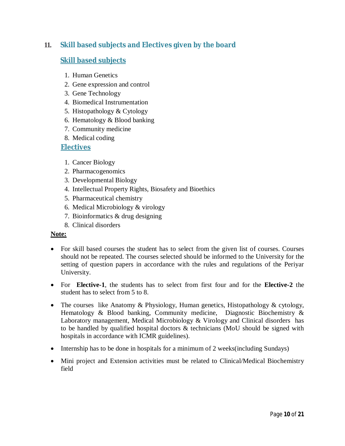# **11. Skill based subjects and Electives given by the board**

# **Skill based subjects**

- 1. Human Genetics
- 2. Gene expression and control
- 3. Gene Technology
- 4. Biomedical Instrumentation
- 5. Histopathology & Cytology
- 6. Hematology & Blood banking
- 7. Community medicine
- 8. Medical coding

# **Electives**

- 1. Cancer Biology
- 2. Pharmacogenomics
- 3. Developmental Biology
- 4. Intellectual Property Rights, Biosafety and Bioethics
- 5. Pharmaceutical chemistry
- 6. Medical Microbiology & virology
- 7. Bioinformatics & drug designing
- 8. Clinical disorders

### **Note:**

- For skill based courses the student has to select from the given list of courses. Courses should not be repeated. The courses selected should be informed to the University for the setting of question papers in accordance with the rules and regulations of the Periyar University.
- For **Elective-1**, the students has to select from first four and for the **Elective-2** the student has to select from 5 to 8.
- The courses like Anatomy & Physiology, Human genetics, Histopathology & cytology, Hematology & Blood banking, Community medicine, Diagnostic Biochemistry & Laboratory management, Medical Microbiology & Virology and Clinical disorders has to be handled by qualified hospital doctors & technicians (MoU should be signed with hospitals in accordance with ICMR guidelines).
- Internship has to be done in hospitals for a minimum of 2 weeks(including Sundays)
- Mini project and Extension activities must be related to Clinical/Medical Biochemistry field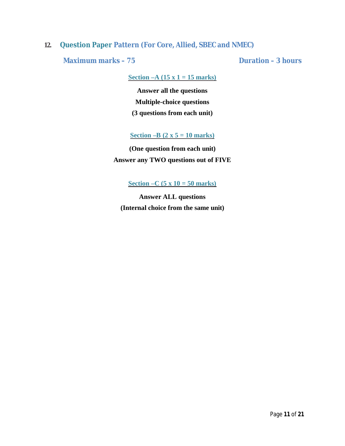# **12. Question Paper Pattern (For Core, Allied, SBEC and NMEC)**

**Maximum marks – 75 Duration – 3 hours**

**Section –A (15 x 1 = 15 marks)**

**Answer all the questions Multiple-choice questions (3 questions from each unit)**

**Section –B (2 x 5 = 10 marks)**

**(One question from each unit) Answer any TWO questions out of FIVE**

**Section –C (5 x 10 = 50 marks)**

**Answer ALL questions (Internal choice from the same unit)**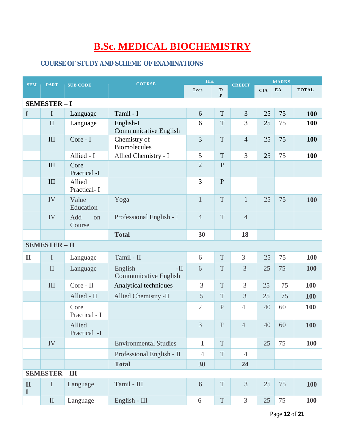# **B.Sc. MEDICAL BIOCHEMISTRY**

# **COURSE OF STUDY AND SCHEME OF EXAMINATIONS**

| <b>SEM</b>                  | <b>PART</b>           | <b>COURSE</b><br><b>SUB CODE</b> |                                                  | Hrs.           |                               | <b>CREDIT</b>  | <b>MARKS</b> |    |              |  |
|-----------------------------|-----------------------|----------------------------------|--------------------------------------------------|----------------|-------------------------------|----------------|--------------|----|--------------|--|
|                             |                       |                                  |                                                  | Lect.          | $\mathbf{T} /$<br>$\mathbf P$ |                | <b>CIA</b>   | EA | <b>TOTAL</b> |  |
|                             | <b>SEMESTER-I</b>     |                                  |                                                  |                |                               |                |              |    |              |  |
| $\bf{I}$                    | I                     | Language                         | Tamil - I                                        | 6              | T                             | 3              | 25           | 75 | 100          |  |
|                             | $\mathbf{I}$          | Language                         | English-I<br><b>Communicative English</b>        | 6              | T                             | 3              | 25           | 75 | 100          |  |
|                             | III                   | Core - I                         | Chemistry of<br><b>Biomolecules</b>              | 3              | T                             | $\overline{4}$ | 25           | 75 | 100          |  |
|                             |                       | Allied - I                       | Allied Chemistry - I                             | 5              | T                             | 3              | 25           | 75 | <b>100</b>   |  |
|                             | III                   | Core<br>Practical -I             |                                                  | $\overline{2}$ | $\mathbf{P}$                  |                |              |    |              |  |
|                             | III                   | Allied<br>Practical-I            |                                                  | 3              | $\mathbf{P}$                  |                |              |    |              |  |
|                             | IV                    | Value<br>Education               | Yoga                                             | $\mathbf{1}$   | T                             | $\mathbf{1}$   | 25           | 75 | 100          |  |
|                             | IV                    | Add<br>on<br>Course              | Professional English - I                         | $\overline{4}$ | T                             | $\overline{4}$ |              |    |              |  |
|                             |                       |                                  | <b>Total</b>                                     | 30             |                               | 18             |              |    |              |  |
|                             | <b>SEMESTER - II</b>  |                                  |                                                  |                |                               |                |              |    |              |  |
| $\mathbf{I}$                | $\mathbf I$           | Language                         | Tamil - II                                       | 6              | $\mathbf T$                   | 3              | 25           | 75 | 100          |  |
|                             | $\mathbf{I}$          | Language                         | English<br>$-II$<br><b>Communicative English</b> | 6              | T                             | $\overline{3}$ | 25           | 75 | <b>100</b>   |  |
|                             | III                   | Core - II                        | Analytical techniques                            | 3              | T                             | 3              | 25           | 75 | 100          |  |
|                             |                       | Allied - II                      | Allied Chemistry -II                             | 5              | T                             | 3              | 25           | 75 | <b>100</b>   |  |
|                             |                       | Core<br>Practical - I            |                                                  | $\overline{2}$ | ${\bf P}$                     | $\overline{4}$ | 40           | 60 | 100          |  |
|                             |                       | Allied<br>Practical -I           |                                                  | $\overline{3}$ | ${\bf P}$                     | $\overline{4}$ | 40           | 60 | 100          |  |
|                             | IV                    |                                  | <b>Environmental Studies</b>                     | $\mathbf{1}$   | T                             |                | 25           | 75 | 100          |  |
|                             |                       |                                  | Professional English - II                        | $\overline{4}$ | $\mathbf T$                   | $\overline{4}$ |              |    |              |  |
|                             |                       |                                  | <b>Total</b>                                     | 30             |                               | 24             |              |    |              |  |
|                             | <b>SEMESTER - III</b> |                                  |                                                  |                |                               |                |              |    |              |  |
| $\mathbf{I}$<br>$\mathbf I$ | $\rm I$               | Language                         | Tamil - III                                      | 6              | T                             | 3              | 25           | 75 | <b>100</b>   |  |
|                             | $\mathbf{I}$          | Language                         | English - III                                    | $\sqrt{6}$     | $\mathbf T$                   | 3              | 25           | 75 | <b>100</b>   |  |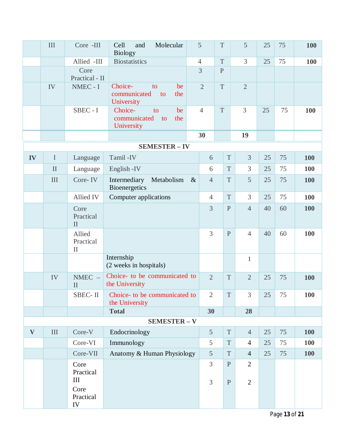|          | III          | Core -III                           | Molecular<br>Cell<br>and<br><b>Biology</b>                     | 5              |                | $\mathbf T$    | 5              | 25 | 75 | 100        |
|----------|--------------|-------------------------------------|----------------------------------------------------------------|----------------|----------------|----------------|----------------|----|----|------------|
|          |              | Allied -III                         | <b>Biostatistics</b>                                           | $\overline{4}$ |                | $\mathbf T$    | 3              | 25 | 75 | <b>100</b> |
|          |              | Core<br>Practical - II              |                                                                | $\overline{3}$ |                | $\overline{P}$ |                |    |    |            |
|          | IV           | NMEC - I                            | Choice-<br>to<br>be<br>communicated<br>the<br>to<br>University | $\overline{2}$ |                | T              | $\overline{2}$ |    |    |            |
|          |              | SBEC - I                            | Choice-<br>be<br>to<br>communicated<br>the<br>to<br>University | $\overline{4}$ |                | $\mathbf T$    | $\overline{3}$ | 25 | 75 | 100        |
|          |              |                                     |                                                                | 30             |                |                | 19             |    |    |            |
|          |              |                                     | <b>SEMESTER - IV</b>                                           |                |                |                |                |    |    |            |
| IV       | $\bf I$      | Language                            | Tamil-IV                                                       |                | 6              | $\mathbf T$    | $\overline{3}$ | 25 | 75 | <b>100</b> |
|          | $\mathbf{I}$ | Language                            | English - IV                                                   |                | 6              | T              | 3              | 25 | 75 | <b>100</b> |
|          | III          | Core-IV                             | Metabolism<br>Intermediary<br>Bioenergetics                    | $\&$           | $\overline{4}$ | $\mathbf T$    | 5              | 25 | 75 | <b>100</b> |
|          |              | Allied IV                           | Computer applications                                          |                | $\overline{4}$ | $\mathbf T$    | 3              | 25 | 75 | 100        |
|          |              | Core<br>Practical<br>$\mathbf{I}$   |                                                                |                | $\overline{3}$ | $\mathbf{P}$   | $\overline{4}$ | 40 | 60 | 100        |
|          |              | Allied<br>Practical<br>$\mathbf{I}$ |                                                                |                | 3              | ${\bf P}$      | $\overline{4}$ | 40 | 60 | 100        |
|          |              |                                     | Internship<br>(2 weeks in hospitals)                           |                |                |                | $\mathbf{1}$   |    |    |            |
|          | IV           | $NMEC -$<br>$\mathbf{I}$            | Choice- to be communicated to<br>the University                |                | $\overline{2}$ | T              | $\overline{2}$ | 25 | 75 | 100        |
|          |              | SBEC-II                             | Choice- to be communicated to<br>the University                |                | $\overline{2}$ | T              | 3              | 25 | 75 | <b>100</b> |
|          |              |                                     | <b>Total</b>                                                   |                | 30             |                | 28             |    |    |            |
|          |              |                                     | <b>SEMESTER - V</b>                                            |                |                |                |                |    |    |            |
| $\bf{V}$ | $\rm III$    | Core-V                              | Endocrinology                                                  |                | 5              | T              | $\overline{4}$ | 25 | 75 | 100        |
|          |              | Core-VI                             | Immunology                                                     |                | 5              | $\mathbf T$    | $\overline{4}$ | 25 | 75 | 100        |
|          |              | Core-VII                            | Anatomy & Human Physiology                                     |                | 5              | $\mathbf T$    | $\overline{4}$ | 25 | 75 | 100        |
|          |              | Core<br>Practical<br>III            |                                                                |                | $\overline{3}$ | $\mathbf{P}$   | $\overline{2}$ |    |    |            |
|          |              | Core<br>Practical<br>IV             |                                                                |                | $\overline{3}$ | $\mathbf{P}$   | $\overline{2}$ |    |    |            |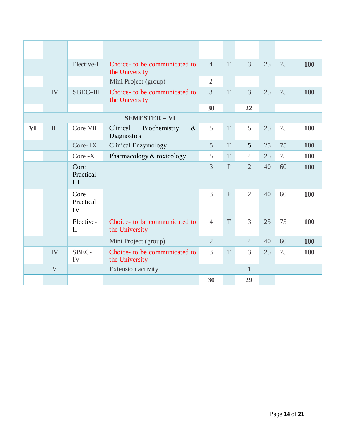|           |              | Elective-I                | Choice- to be communicated to<br>the University | $\overline{4}$ | T            | $\overline{3}$ | 25 | 75 | 100 |
|-----------|--------------|---------------------------|-------------------------------------------------|----------------|--------------|----------------|----|----|-----|
|           |              |                           | Mini Project (group)                            | $\overline{2}$ |              |                |    |    |     |
|           | IV           | SBEC-III                  | Choice- to be communicated to<br>the University | $\overline{3}$ | T            | $\overline{3}$ | 25 | 75 | 100 |
|           |              |                           |                                                 | 30             |              | 22             |    |    |     |
|           |              |                           | <b>SEMESTER - VI</b>                            |                |              |                |    |    |     |
| <b>VI</b> | III          | Core VIII                 | Clinical<br>$\&$<br>Biochemistry<br>Diagnostics | 5              | T            | 5              | 25 | 75 | 100 |
|           |              | Core-IX                   | <b>Clinical Enzymology</b>                      | 5              | T            | $\overline{5}$ | 25 | 75 | 100 |
|           |              | $Core - X$                | Pharmacology & toxicology                       | 5              | T            | $\overline{4}$ | 25 | 75 | 100 |
|           |              | Core<br>Practical<br>III  |                                                 | 3              | $\mathbf{P}$ | $\overline{2}$ | 40 | 60 | 100 |
|           |              | Core<br>Practical<br>IV   |                                                 | 3              | $\mathbf{P}$ | $\overline{2}$ | 40 | 60 | 100 |
|           |              | Elective-<br>$\mathbf{I}$ | Choice- to be communicated to<br>the University | $\overline{4}$ | T            | 3              | 25 | 75 | 100 |
|           |              |                           | Mini Project (group)                            | $\overline{2}$ |              | $\overline{4}$ | 40 | 60 | 100 |
|           | IV           | SBEC-<br>IV               | Choice- to be communicated to<br>the University | $\overline{3}$ | T            | 3              | 25 | 75 | 100 |
|           | $\mathbf{V}$ |                           | Extension activity                              |                |              | $\mathbf{1}$   |    |    |     |
|           |              |                           |                                                 | 30             |              | 29             |    |    |     |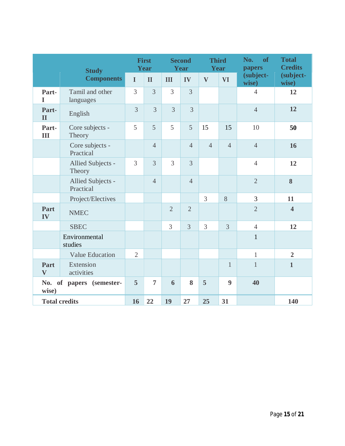| <b>Study</b>                         |                                |                | <b>First</b><br>Year |                | <b>Second</b><br>Year | <b>Third</b>   | Year             | No.<br>of<br>papers | <b>Total</b><br><b>Credits</b> |
|--------------------------------------|--------------------------------|----------------|----------------------|----------------|-----------------------|----------------|------------------|---------------------|--------------------------------|
|                                      | <b>Components</b>              | $\mathbf I$    | $\mathbf{I}$         | III            | IV                    | $\mathbf{V}$   | <b>VI</b>        | (subject-<br>wise)  | (subject-<br>wise)             |
| Part-<br>$\mathbf I$                 | Tamil and other<br>languages   | 3              | 3                    | 3              | 3                     |                |                  | $\overline{4}$      | 12                             |
| Part-<br>$\mathbf{I}$                | English                        | $\overline{3}$ | $\overline{3}$       | $\overline{3}$ | $\overline{3}$        |                |                  | $\overline{4}$      | 12                             |
| Part-<br>Ш                           | Core subjects -<br>Theory      | 5              | 5                    | 5              | 5                     | 15             | 15               | 10                  | 50                             |
|                                      | Core subjects -<br>Practical   |                | $\overline{4}$       |                | $\overline{4}$        | $\overline{4}$ | $\overline{4}$   | $\overline{4}$      | 16                             |
|                                      | Allied Subjects -<br>Theory    | 3              | $\overline{3}$       | $\overline{3}$ | $\overline{3}$        |                |                  | $\overline{4}$      | 12                             |
|                                      | Allied Subjects -<br>Practical |                | $\overline{4}$       |                | $\overline{4}$        |                |                  | $\overline{2}$      | 8                              |
|                                      | Project/Electives              |                |                      |                |                       | 3              | 8                | 3                   | 11                             |
| Part<br>IV                           | <b>NMEC</b>                    |                |                      | $\overline{2}$ | $\overline{2}$        |                |                  | $\overline{2}$      | $\overline{\mathbf{4}}$        |
|                                      | <b>SBEC</b>                    |                |                      | 3              | $\overline{3}$        | 3              | 3                | $\overline{4}$      | 12                             |
|                                      | Environmental<br>studies       |                |                      |                |                       |                |                  | $\mathbf{1}$        |                                |
|                                      | <b>Value Education</b>         | $\overline{2}$ |                      |                |                       |                |                  | $\mathbf{1}$        | $\overline{2}$                 |
| Part<br>$\mathbf{V}$                 | Extension<br>activities        |                |                      |                |                       |                | $\mathbf{1}$     | $\mathbf{1}$        | $\mathbf{1}$                   |
| of papers (semester-<br>No.<br>wise) |                                | 5              | $\overline{7}$       | 6              | 8                     | 5              | $\boldsymbol{9}$ | 40                  |                                |
|                                      | <b>Total credits</b>           | 16             | 22                   | 19             | 27                    | 25             | 31               |                     | 140                            |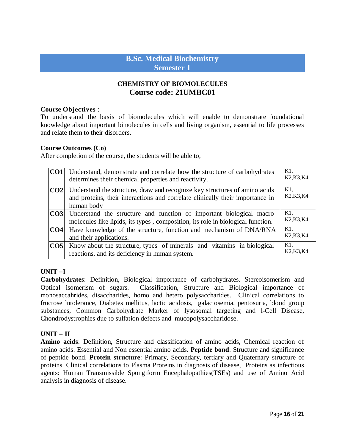# **B.Sc. Medical Biochemistry Semester 1**

# **CHEMISTRY OF BIOMOLECULES Course code: 21UMBC01**

#### **Course Objectives** :

To understand the basis of biomolecules which will enable to demonstrate foundational knowledge about important bimolecules in cells and living organism, essential to life processes and relate them to their disorders.

#### **Course Outcomes (Co)**

After completion of the course, the students will be able to,

| CO1 | Understand, demonstrate and correlate how the structure of carbohydrates<br>determines their chemical properties and reactivity.                                                     | K1,<br>K <sub>2</sub> , K <sub>3</sub> , K <sub>4</sub>    |
|-----|--------------------------------------------------------------------------------------------------------------------------------------------------------------------------------------|------------------------------------------------------------|
|     | <b>CO2</b> Understand the structure, draw and recognize key structures of amino acids<br>and proteins, their interactions and correlate clinically their importance in<br>human body | K1.<br>K <sub>2</sub> , K <sub>3</sub> , K <sub>4</sub>    |
|     | <b>CO3</b> Understand the structure and function of important biological macro<br>molecules like lipids, its types, composition, its role in biological function.                    | K1.<br>K <sub>2</sub> , K <sub>3</sub> , K <sub>4</sub>    |
|     | <b>CO4</b> Have knowledge of the structure, function and mechanism of DNA/RNA<br>and their applications.                                                                             | $K1$ ,<br>K <sub>2</sub> , K <sub>3</sub> , K <sub>4</sub> |
| CO5 | Know about the structure, types of minerals and vitamins in biological<br>reactions, and its deficiency in human system.                                                             | K1.<br>K <sub>2</sub> , K <sub>3</sub> , K <sub>4</sub>    |

#### **UNIT –I**

**Carbohydrates**: Definition, Biological importance of carbohydrates. Stereoisomerism and Optical isomerism of sugars. Classification, Structure and Biological importance of monosaccahrides, disaccharides, homo and hetero polysaccharides. Clinical correlations to fructose lntolerance, Diabetes mellitus, lactic acidosis, galactosemia, pentosuria, blood group substances, Common Carbohydrate Marker of lysosomal targeting and l-Cell Disease, Chondrodystrophies due to sulfation defects and mucopolysaccharidose.

#### **UNIT – II**

**Amino acids**: Definition, Structure and classification of amino acids, Chemical reaction of amino acids. Essential and Non essential amino acids. **Peptide bond**: Structure and significance of peptide bond. **Protein structure**: Primary, Secondary, tertiary and Quaternary structure of proteins. Clinical correlations to Plasma Proteins in diagnosis of disease, Proteins as infectious agents: Human Transmissible Spongiform Encephalopathies(TSEs) and use of Amino Acid analysis in diagnosis of disease.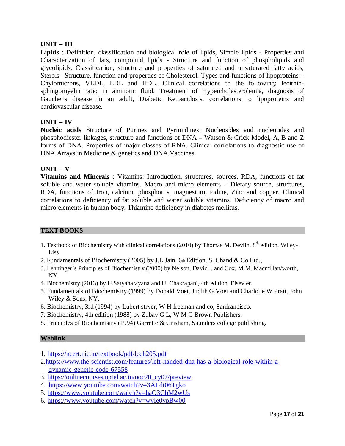### **UNIT – III**

**Lipids** : Definition, classification and biological role of lipids, Simple lipids - Properties and Characterization of fats, compound lipids - Structure and function of phospholipids and glycolipids. Classification, structure and properties of saturated and unsaturated fatty acids, Sterols –Structure, function and properties of Cholesterol. Types and functions of lipoproteins – Chylomicrons, VLDL, LDL and HDL. Clinical correlations to the following: lecithinsphingomyelin ratio in amniotic fluid, Treatment of Hypercholesterolemia, diagnosis of Gaucher's disease in an adult, Diabetic Ketoacidosis, correlations to lipoproteins and cardiovascular disease.

### **UNIT – IV**

**Nucleic acids** Structure of Purines and Pyrimidines; Nucleosides and nucleotides and phosphodiester linkages, structure and functions of DNA – Watson & Crick Model, A, B and Z forms of DNA. Properties of major classes of RNA. Clinical correlations to diagnostic use of DNA Arrays in Medicine & genetics and DNA Vaccines.

#### $UNIT - V$

**Vitamins and Minerals** : Vitamins: Introduction, structures, sources, RDA, functions of fat soluble and water soluble vitamins. Macro and micro elements – Dietary source, structures, RDA, functions of Iron, calcium, phosphorus, magnesium, iodine, Zinc and copper. Clinical correlations to deficiency of fat soluble and water soluble vitamins. Deficiency of macro and micro elements in human body. Thiamine deficiency in diabetes mellitus.

#### **TEXT BOOKS**

- 1. Textbook of Biochemistry with clinical correlations (2010) by Thomas M. Devlin.  $8<sup>th</sup>$  edition, Wiley-Liss
- 2. Fundamentals of Biochemistry (2005) by J.L Jain, 6th Edition, S. Chand & Co Ltd.,
- 3. Lehninger's Principles of Biochemistry (2000) by Nelson, David l. and Cox, M.M. Macmillan/worth, NY.
- 4. Biochemistry (2013) by U.Satyanarayana and U. Chakrapani, 4th edition, Elsevier.
- 5. Fundamentals of Biochemistry (1999) by Donald Voet, Judith G.Voet and Charlotte W Pratt, John Wiley & Sons, NY.
- 6. Biochemistry, 3rd (1994) by Lubert stryer, W H freeman and co, Sanfrancisco.
- 7. Biochemistry, 4th edition (1988) by Zubay G L, W M C Brown Publishers.
- 8. Principles of Biochemistry (1994) Garrette & Grisham, Saunders college publishing.

#### **Weblink**

- 1. https://ncert.nic.in/textbook/pdf/lech205.pdf
- 2.https://www.the-scientist.com/features/left-handed-dna-has-a-biological-role-within-adynamic-genetic-code-67558
- 3. https://onlinecourses.nptel.ac.in/noc20\_cy07/preview
- 4. https://www.youtube.com/watch?v=3ALdt06Tgko
- 5. https://www.youtube.com/watch?v=haO3ChM2wUs
- 6. https://www.youtube.com/watch?v=wvIe0ypBw00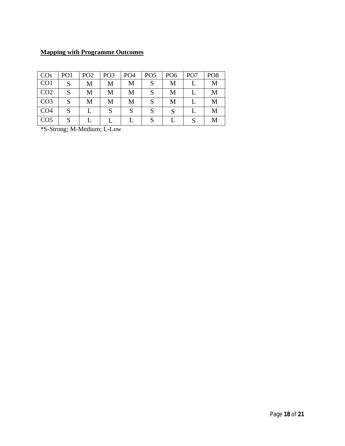# **Mapping with Programme Outcomes**

| $\overline{COS}$ | PO <sub>1</sub> | PO <sub>2</sub> | PO <sub>3</sub> | PO <sub>4</sub> | PO <sub>5</sub> | PO <sub>6</sub> | PO <sub>7</sub> | PO <sub>8</sub> |
|------------------|-----------------|-----------------|-----------------|-----------------|-----------------|-----------------|-----------------|-----------------|
| CO1              | S               | М               | M               | M               |                 | M               |                 | Μ               |
| CO <sub>2</sub>  | S               | M               | М               | М               |                 | M               |                 | M               |
| CO <sub>3</sub>  | S               | М               | М               | M               |                 | М               |                 | M               |
| CO <sub>4</sub>  | S               |                 |                 |                 |                 |                 |                 | M               |
| CO <sub>5</sub>  | S               |                 |                 |                 |                 |                 | c               |                 |

\*S-Strong; M-Medium; L-Low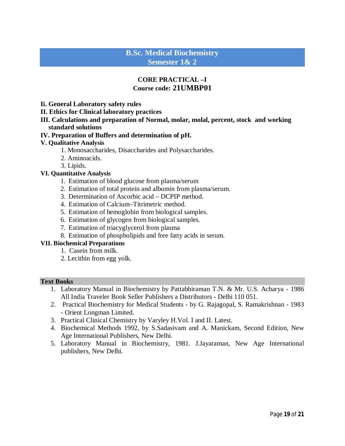# **B.Sc. Medical Biochemistry Semester 1& 2**

# **CORE PRACTICAL –I Course code: 21UMBP01**

- **Ii. General Laboratory safety rules**
- **II. Ethics for Clinical laboratory practices**
- **III. Calculations and preparation of Normal, molar, molal, percent, stock and working standard solutions**

### **IV. Preparation of Buffers and determination of pH.**

### **V. Qualitative Analysis**

- 1. Monosaccharides, Disaccharides and Polysaccharides.
- 2. Aminoacids.
- 3. Lipids.

#### **VI. Quantitative Analysis**

- 1. Estimation of blood glucose from plasma/serum
- 2. Estimation of total protein and albumin from plasma/serum.
- 3. Determination of Ascorbic acid DCPIP method.
- 4. Estimation of Calcium–Titrimetric method.
- 5. Estimation of hemoglobin from biological samples.
- 6. Estimation of glycogen from biological samples.
- 7. Estimation of triacyglycerol from plasma
- 8. Estimation of phospholipids and free fatty acids in serum.

#### **VII. Biochemical Preparations**

- 1. Casein from milk.
- 2. Lecithin from egg yolk.

#### **Text Books**

- 1. Laboratory Manual in Biochemistry by Pattabhiraman T.N. & Mr. U.S. Acharya 1986 All India Traveler Book Seller Publishers a Distributors - Delhi 110 051.
- 2. Practical Biochemistry for Medical Students by G. Rajagopal, S. Ramakrishnan 1983 - Orient Longman Limited.
- 3. Practical Clinical Chemistry by Varyley H.Vol. I and II. Latest.
- 4. Biochemical Methods 1992, by S.Sadasivam and A. Manickam, Second Edition, New Age International Publishers, New Delhi.
- 5. Laboratory Manual in Biochemistry, 1981. J.Jayaraman, New Age International publishers, New Delhi.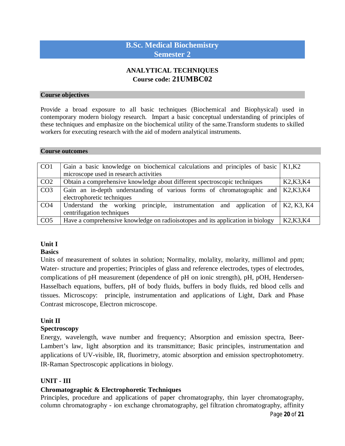# **B.Sc. Medical Biochemistry Semester 2**

# **ANALYTICAL TECHNIQUES Course code: 21UMBC02**

#### **Course objectives**

Provide a broad exposure to all basic techniques (Biochemical and Biophysical) used in contemporary modern biology research. Impart a basic conceptual understanding of principles of these techniques and emphasize on the biochemical utility of the same.Transform students to skilled workers for executing research with the aid of modern analytical instruments.

#### **Course outcomes**

| CO <sub>1</sub> | Gain a basic knowledge on biochemical calculations and principles of basic $  K1, K2 \rangle$ |                                                  |  |  |  |  |  |  |  |  |  |  |
|-----------------|-----------------------------------------------------------------------------------------------|--------------------------------------------------|--|--|--|--|--|--|--|--|--|--|
|                 | microscope used in research activities                                                        |                                                  |  |  |  |  |  |  |  |  |  |  |
| CO <sub>2</sub> | Obtain a comprehensive knowledge about different spectroscopic techniques                     | K <sub>2</sub> , K <sub>3</sub> , K <sub>4</sub> |  |  |  |  |  |  |  |  |  |  |
| CO <sub>3</sub> | Gain an in-depth understanding of various forms of chromatographic and                        | K2,K3,K4                                         |  |  |  |  |  |  |  |  |  |  |
|                 | electrophoretic techniques                                                                    |                                                  |  |  |  |  |  |  |  |  |  |  |
| CO <sub>4</sub> | Understand the working principle, instrumentation and application of $K2, K3, K4$             |                                                  |  |  |  |  |  |  |  |  |  |  |
|                 | centrifugation techniques                                                                     |                                                  |  |  |  |  |  |  |  |  |  |  |
| CO <sub>5</sub> | Have a comprehensive knowledge on radioisotopes and its application in biology                | K <sub>2</sub> , K <sub>3</sub> , K <sub>4</sub> |  |  |  |  |  |  |  |  |  |  |

#### **Unit I**

#### **Basics**

Units of measurement of solutes in solution; Normality, molality, molarity, millimol and ppm; Water- structure and properties; Principles of glass and reference electrodes, types of electrodes, complications of pH measurement (dependence of pH on ionic strength), pH, pOH, Hendersen-Hasselbach equations, buffers, pH of body fluids, buffers in body fluids, red blood cells and tissues. Microscopy:principle, instrumentation and applications of Light, Dark and Phase Contrast microscope, Electron microscope.

### **Unit II**

#### **Spectroscopy**

Energy, wavelength, wave number and frequency; Absorption and emission spectra, Beer-Lambert's law, light absorption and its transmittance; Basic principles, instrumentation and applications of UV-visible, IR, fluorimetry, atomic absorption and emission spectrophotometry. IR-Raman Spectroscopic applications in biology.

### **UNIT - III**

### **Chromatographic & Electrophoretic Techniques**

Principles, procedure and applications of paper chromatography, thin layer chromatography, column chromatography - ion exchange chromatography, gel filtration chromatography, affinity